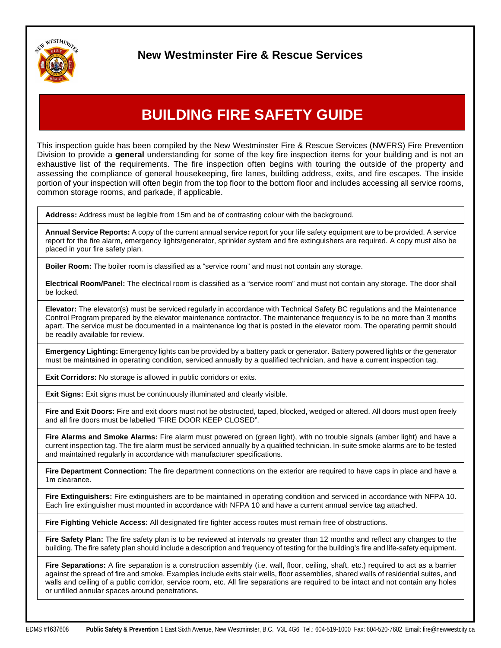

## **New Westminster Fire & Rescue Services**

## **BUILDING FIRE SAFETY GUIDE**

This inspection guide has been compiled by the New Westminster Fire & Rescue Services (NWFRS) Fire Prevention Division to provide a **general** understanding for some of the key fire inspection items for your building and is not an exhaustive list of the requirements. The fire inspection often begins with touring the outside of the property and assessing the compliance of general housekeeping, fire lanes, building address, exits, and fire escapes. The inside portion of your inspection will often begin from the top floor to the bottom floor and includes accessing all service rooms, common storage rooms, and parkade, if applicable.

**Address:** Address must be legible from 15m and be of contrasting colour with the background.

**Annual Service Reports:** A copy of the current annual service report for your life safety equipment are to be provided. A service report for the fire alarm, emergency lights/generator, sprinkler system and fire extinguishers are required. A copy must also be placed in your fire safety plan.

**Boiler Room:** The boiler room is classified as a "service room" and must not contain any storage.

**Electrical Room/Panel:** The electrical room is classified as a "service room" and must not contain any storage. The door shall be locked.

**Elevator:** The elevator(s) must be serviced regularly in accordance with Technical Safety BC regulations and the Maintenance Control Program prepared by the elevator maintenance contractor. The maintenance frequency is to be no more than 3 months apart. The service must be documented in a maintenance log that is posted in the elevator room. The operating permit should be readily available for review.

**Emergency Lighting:** Emergency lights can be provided by a battery pack or generator. Battery powered lights or the generator must be maintained in operating condition, serviced annually by a qualified technician, and have a current inspection tag.

**Exit Corridors:** No storage is allowed in public corridors or exits.

**Exit Signs:** Exit signs must be continuously illuminated and clearly visible.

**Fire and Exit Doors:** Fire and exit doors must not be obstructed, taped, blocked, wedged or altered. All doors must open freely and all fire doors must be labelled "FIRE DOOR KEEP CLOSED".

**Fire Alarms and Smoke Alarms:** Fire alarm must powered on (green light), with no trouble signals (amber light) and have a current inspection tag. The fire alarm must be serviced annually by a qualified technician. In-suite smoke alarms are to be tested and maintained regularly in accordance with manufacturer specifications.

**Fire Department Connection:** The fire department connections on the exterior are required to have caps in place and have a 1m clearance.

**Fire Extinguishers:** Fire extinguishers are to be maintained in operating condition and serviced in accordance with NFPA 10. Each fire extinguisher must mounted in accordance with NFPA 10 and have a current annual service tag attached.

**Fire Fighting Vehicle Access:** All designated fire fighter access routes must remain free of obstructions.

**Fire Safety Plan:** The fire safety plan is to be reviewed at intervals no greater than 12 months and reflect any changes to the building. The fire safety plan should include a description and frequency of testing for the building's fire and life-safety equipment.

**Fire Separations:** A fire separation is a construction assembly (i.e. wall, floor, ceiling, shaft, etc.) required to act as a barrier against the spread of fire and smoke. Examples include exits stair wells, floor assemblies, shared walls of residential suites, and walls and ceiling of a public corridor, service room, etc. All fire separations are required to be intact and not contain any holes or unfilled annular spaces around penetrations.